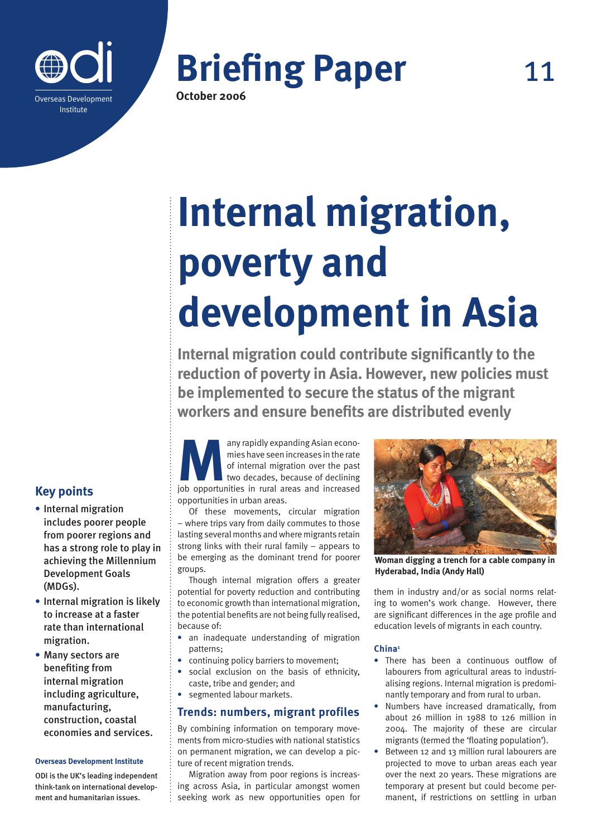



# **Internal migration, poverty and development in Asia**

**Internal migration could contribute significantly to the reduction of poverty in Asia. However, new policies must be implemented to secure the status of the migrant workers and ensure benefits are distributed evenly**

any rapidly expanding Asian econo-<br>mies have seen increases in the rate<br>of internal migration over the past<br>two decades, because of declining<br>job opportunities in rural areas and increased mies have seen increases in the rate of internal migration over the past two decades, because of declining opportunities in urban areas.

Of these movements, circular migration – where trips vary from daily commutes to those lasting several months and where migrants retain strong links with their rural family – appears to be emerging as the dominant trend for poorer groups.

Though internal migration offers a greater potential for poverty reduction and contributing to economic growth than international migration, the potential benefits are not being fully realised, because of:

- **•** an inadequate understanding of migration patterns;
- **•** continuing policy barriers to movement;
- **•** social exclusion on the basis of ethnicity, caste, tribe and gender; and
- **•** segmented labour markets.

# **Trends: numbers, migrant profiles**

By combining information on temporary movements from micro-studies with national statistics on permanent migration, we can develop a picture of recent migration trends.

Migration away from poor regions is increasing across Asia, in particular amongst women seeking work as new opportunities open for



**Woman digging a trench for a cable company in Hyderabad, India (Andy Hall)**

them in industry and/or as social norms relating to women's work change. However, there are significant differences in the age profile and education levels of migrants in each country.

## **China1**

- **•** There has been a continuous outflow of labourers from agricultural areas to industrialising regions. Internal migration is predominantly temporary and from rural to urban.
- **•** Numbers have increased dramatically, from about 26 million in 1988 to 126 million in 2004. The majority of these are circular migrants (termed the 'floating population').
- **•** Between 12 and 13 million rural labourers are projected to move to urban areas each year over the next 20 years. These migrations are temporary at present but could become permanent, if restrictions on settling in urban

# **Key points**

- **•** Internal migration includes poorer people from poorer regions and has a strong role to play in achieving the Millennium Development Goals (MDGs).
- **•** Internal migration is likely to increase at a faster rate than international migration.
- **•** Many sectors are benefiting from internal migration including agriculture, manufacturing, construction, coastal economies and services.

#### **Overseas Development Institute**

ODI is the UK's leading independent think-tank on international development and humanitarian issues.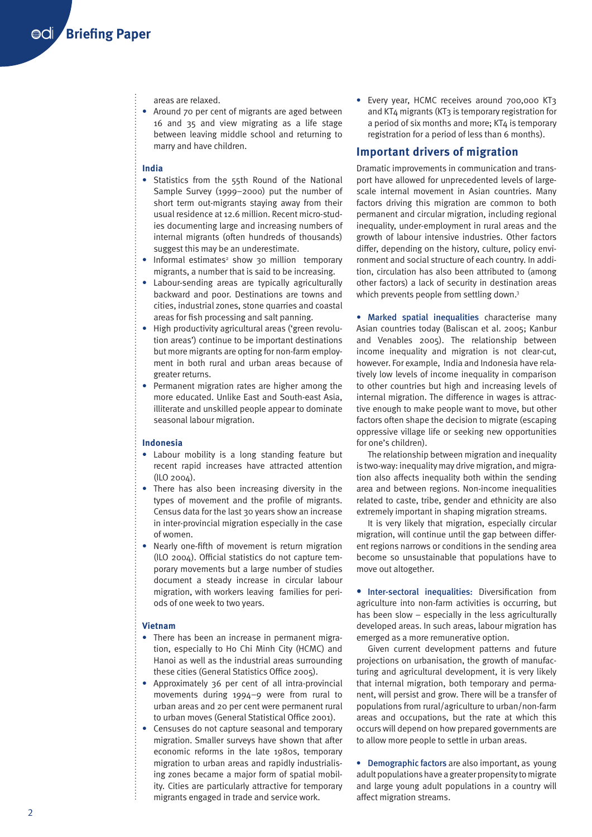areas are relaxed.

**•** Around 70 per cent of migrants are aged between 16 and 35 and view migrating as a life stage between leaving middle school and returning to marry and have children.

# **India**

- **•** Statistics from the 55th Round of the National Sample Survey (1999–2000) put the number of short term out-migrants staying away from their usual residence at 12.6 million. Recent micro-studies documenting large and increasing numbers of internal migrants (often hundreds of thousands) suggest this may be an underestimate.
- Informal estimates<sup>2</sup> show 30 million temporary migrants, a number that is said to be increasing.
- **•** Labour-sending areas are typically agriculturally backward and poor. Destinations are towns and cities, industrial zones, stone quarries and coastal areas for fish processing and salt panning.
- **•** High productivity agricultural areas ('green revolution areas') continue to be important destinations but more migrants are opting for non-farm employment in both rural and urban areas because of greater returns.
- **•** Permanent migration rates are higher among the more educated. Unlike East and South-east Asia, illiterate and unskilled people appear to dominate seasonal labour migration.

#### **Indonesia**

- **•** Labour mobility is a long standing feature but recent rapid increases have attracted attention (ILO 2004).
- **•** There has also been increasing diversity in the types of movement and the profile of migrants. Census data for the last 30 years show an increase in inter-provincial migration especially in the case of women.
- **•** Nearly one-fifth of movement is return migration (ILO 2004). Official statistics do not capture temporary movements but a large number of studies document a steady increase in circular labour migration, with workers leaving families for periods of one week to two years.

#### **Vietnam**

- **•** There has been an increase in permanent migration, especially to Ho Chi Minh City (HCMC) and Hanoi as well as the industrial areas surrounding these cities (General Statistics Office 2005).
- **•** Approximately 36 per cent of all intra-provincial movements during 1994–9 were from rural to urban areas and 20 per cent were permanent rural to urban moves (General Statistical Office 2001).
- **•** Censuses do not capture seasonal and temporary migration. Smaller surveys have shown that after economic reforms in the late 1980s, temporary migration to urban areas and rapidly industrialising zones became a major form of spatial mobility. Cities are particularly attractive for temporary migrants engaged in trade and service work.

**•** Every year, HCMC receives around 700,000 KT3 and KT4 migrants (KT3 is temporary registration for a period of six months and more; KT4 is temporary registration for a period of less than 6 months).

# **Important drivers of migration**

Dramatic improvements in communication and transport have allowed for unprecedented levels of largescale internal movement in Asian countries. Many factors driving this migration are common to both permanent and circular migration, including regional inequality, under-employment in rural areas and the growth of labour intensive industries. Other factors differ, depending on the history, culture, policy environment and social structure of each country. In addition, circulation has also been attributed to (among other factors) a lack of security in destination areas which prevents people from settling down.<sup>3</sup>

• Marked spatial inequalities characterise many Asian countries today (Baliscan et al. 2005; Kanbur and Venables 2005). The relationship between income inequality and migration is not clear-cut, however. For example, India and Indonesia have relatively low levels of income inequality in comparison to other countries but high and increasing levels of internal migration. The difference in wages is attractive enough to make people want to move, but other factors often shape the decision to migrate (escaping oppressive village life or seeking new opportunities for one's children).

The relationship between migration and inequality is two-way: inequality may drive migration, and migration also affects inequality both within the sending area and between regions. Non-income inequalities related to caste, tribe, gender and ethnicity are also extremely important in shaping migration streams.

It is very likely that migration, especially circular migration, will continue until the gap between different regions narrows or conditions in the sending area become so unsustainable that populations have to move out altogether.

• Inter-sectoral inequalities: Diversification from agriculture into non-farm activities is occurring, but has been slow – especially in the less agriculturally developed areas. In such areas, labour migration has emerged as a more remunerative option.

Given current development patterns and future projections on urbanisation, the growth of manufacturing and agricultural development, it is very likely that internal migration, both temporary and permanent, will persist and grow. There will be a transfer of populations from rural/agriculture to urban/non-farm areas and occupations, but the rate at which this occurs will depend on how prepared governments are to allow more people to settle in urban areas.

**•** Demographic factors are also important, as young adult populations have a greater propensity to migrate and large young adult populations in a country will affect migration streams.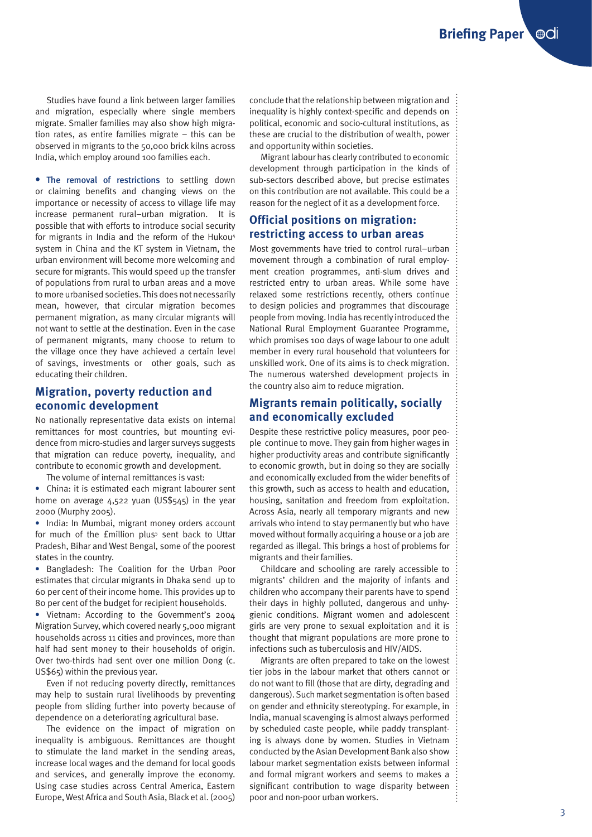Studies have found a link between larger families and migration, especially where single members migrate. Smaller families may also show high migration rates, as entire families migrate – this can be observed in migrants to the 50,000 brick kilns across India, which employ around 100 families each.

• The removal of restrictions to settling down or claiming benefits and changing views on the importance or necessity of access to village life may increase permanent rural–urban migration. It is possible that with efforts to introduce social security for migrants in India and the reform of the Hukou<sup>4</sup> system in China and the KT system in Vietnam, the urban environment will become more welcoming and secure for migrants. This would speed up the transfer of populations from rural to urban areas and a move to more urbanised societies. This does not necessarily mean, however, that circular migration becomes permanent migration, as many circular migrants will not want to settle at the destination. Even in the case of permanent migrants, many choose to return to the village once they have achieved a certain level of savings, investments or other goals, such as educating their children.

# **Migration, poverty reduction and economic development**

No nationally representative data exists on internal remittances for most countries, but mounting evidence from micro-studies and larger surveys suggests that migration can reduce poverty, inequality, and contribute to economic growth and development.

The volume of internal remittances is vast:

**•** China: it is estimated each migrant labourer sent home on average 4,522 yuan (US\$545) in the year 2000 (Murphy 2005).

**•** India: In Mumbai, migrant money orders account for much of the £million plus<sup>5</sup> sent back to Uttar Pradesh, Bihar and West Bengal, some of the poorest states in the country.

**•** Bangladesh: The Coalition for the Urban Poor estimates that circular migrants in Dhaka send up to 60 per cent of their income home. This provides up to 80 per cent of the budget for recipient households.

**•** Vietnam: According to the Government's 2004 Migration Survey, which covered nearly 5,000 migrant households across 11 cities and provinces, more than half had sent money to their households of origin. Over two-thirds had sent over one million Dong (c. US\$65) within the previous year.

Even if not reducing poverty directly, remittances may help to sustain rural livelihoods by preventing people from sliding further into poverty because of dependence on a deteriorating agricultural base.

The evidence on the impact of migration on inequality is ambiguous. Remittances are thought to stimulate the land market in the sending areas, increase local wages and the demand for local goods and services, and generally improve the economy. Using case studies across Central America, Eastern Europe, West Africa and South Asia, Black et al. (2005)

conclude that the relationship between migration and inequality is highly context-specific and depends on political, economic and socio-cultural institutions, as these are crucial to the distribution of wealth, power and opportunity within societies.

Migrant labour has clearly contributed to economic development through participation in the kinds of sub-sectors described above, but precise estimates on this contribution are not available. This could be a reason for the neglect of it as a development force.

# **Official positions on migration: restricting access to urban areas**

Most governments have tried to control rural–urban movement through a combination of rural employment creation programmes, anti-slum drives and restricted entry to urban areas. While some have relaxed some restrictions recently, others continue to design policies and programmes that discourage people from moving. India has recently introduced the National Rural Employment Guarantee Programme, which promises 100 days of wage labour to one adult member in every rural household that volunteers for unskilled work. One of its aims is to check migration. The numerous watershed development projects in the country also aim to reduce migration.

# **Migrants remain politically, socially and economically excluded**

Despite these restrictive policy measures, poor people continue to move. They gain from higher wages in higher productivity areas and contribute significantly to economic growth, but in doing so they are socially and economically excluded from the wider benefits of this growth, such as access to health and education, housing, sanitation and freedom from exploitation. Across Asia, nearly all temporary migrants and new arrivals who intend to stay permanently but who have moved without formally acquiring a house or a job are regarded as illegal. This brings a host of problems for migrants and their families.

Childcare and schooling are rarely accessible to migrants' children and the majority of infants and children who accompany their parents have to spend their days in highly polluted, dangerous and unhygienic conditions. Migrant women and adolescent girls are very prone to sexual exploitation and it is thought that migrant populations are more prone to infections such as tuberculosis and HIV/AIDS.

Migrants are often prepared to take on the lowest tier jobs in the labour market that others cannot or do not want to fill (those that are dirty, degrading and dangerous). Such market segmentation is often based on gender and ethnicity stereotyping. For example, in India, manual scavenging is almost always performed by scheduled caste people, while paddy transplanting is always done by women. Studies in Vietnam conducted by the Asian Development Bank also show labour market segmentation exists between informal and formal migrant workers and seems to makes a significant contribution to wage disparity between poor and non-poor urban workers.